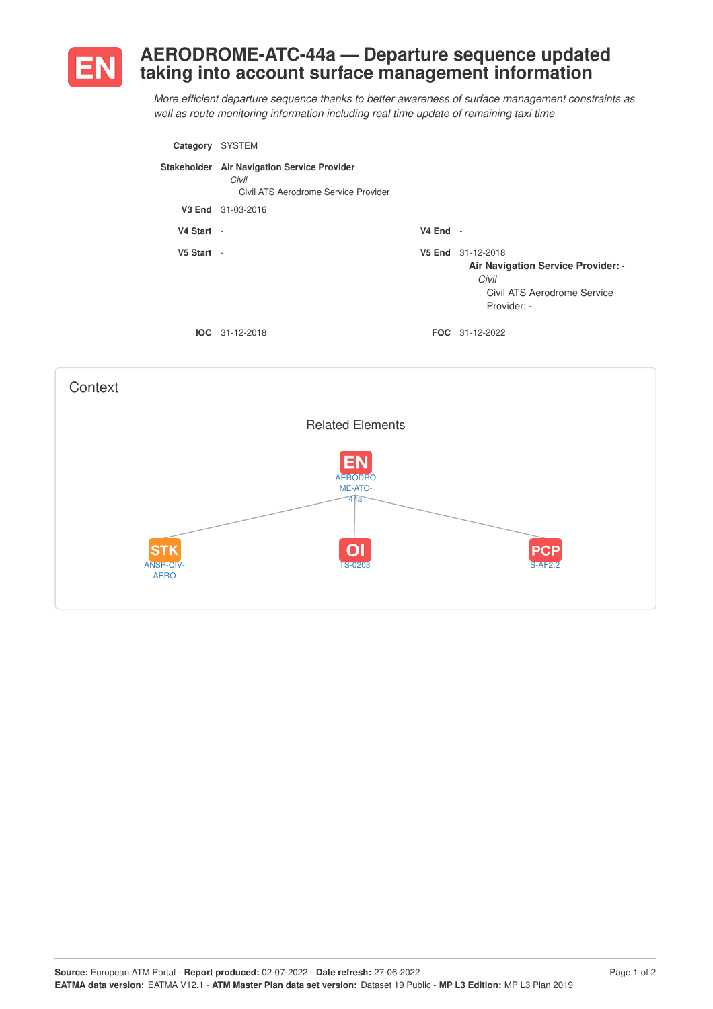

## **AERODROME-ATC-44a — Departure sequence updated taking into account surface management information**

*More efficient departure sequence thanks to better awareness of surface management constraints as well as route monitoring information including real time update of remaining taxi time*

| Category   | <b>SYSTEM</b>                                                                                |            |                                                                                                                |
|------------|----------------------------------------------------------------------------------------------|------------|----------------------------------------------------------------------------------------------------------------|
|            | Stakeholder Air Navigation Service Provider<br>Civil<br>Civil ATS Aerodrome Service Provider |            |                                                                                                                |
| V3 End     | 31-03-2016                                                                                   |            |                                                                                                                |
| V4 Start - |                                                                                              | $V4$ End - |                                                                                                                |
| V5 Start - |                                                                                              |            | V5 End 31-12-2018<br>Air Navigation Service Provider: -<br>Civil<br>Civil ATS Aerodrome Service<br>Provider: - |
|            | $IOC 31-12-2018$                                                                             |            | <b>FOC</b> 31-12-2022                                                                                          |